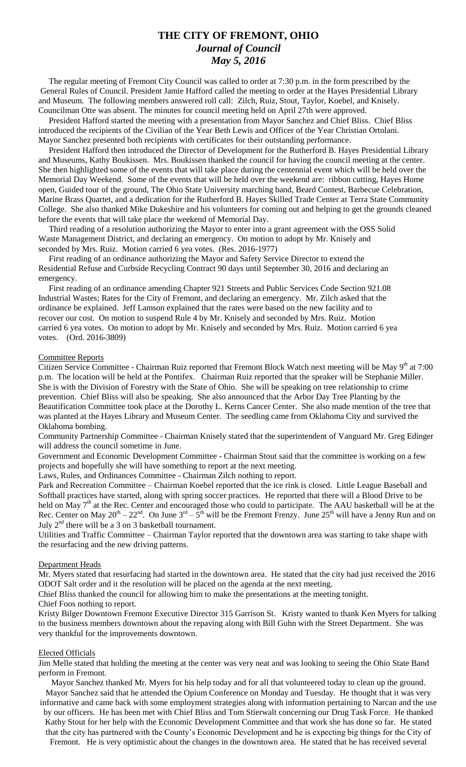# **THE CITY OF FREMONT, OHIO** *Journal of Council May 5, 2016*

 The regular meeting of Fremont City Council was called to order at 7:30 p.m. in the form prescribed by the General Rules of Council. President Jamie Hafford called the meeting to order at the Hayes Presidential Library and Museum. The following members answered roll call: Zilch, Ruiz, Stout, Taylor, Koebel, and Knisely. Councilman Otte was absent. The minutes for council meeting held on April 27th were approved.

 President Hafford started the meeting with a presentation from Mayor Sanchez and Chief Bliss. Chief Bliss introduced the recipients of the Civilian of the Year Beth Lewis and Officer of the Year Christian Ortolani. Mayor Sanchez presented both recipients with certificates for their outstanding performance.

 President Hafford then introduced the Director of Development for the Rutherford B. Hayes Presidential Library and Museums, Kathy Boukissen. Mrs. Boukissen thanked the council for having the council meeting at the center. She then highlighted some of the events that will take place during the centennial event which will be held over the Memorial Day Weekend. Some of the events that will be held over the weekend are: ribbon cutting, Hayes Home open, Guided tour of the ground, The Ohio State University marching band, Beard Contest, Barbecue Celebration, Marine Brass Quartet, and a dedication for the Rutherford B. Hayes Skilled Trade Center at Terra State Community College. She also thanked Mike Dukeshire and his volunteers for coming out and helping to get the grounds cleaned before the events that will take place the weekend of Memorial Day.

 Third reading of a resolution authorizing the Mayor to enter into a grant agreement with the OSS Solid Waste Management District, and declaring an emergency. On motion to adopt by Mr. Knisely and seconded by Mrs. Ruiz. Motion carried 6 yea votes. (Res. 2016-1977)

 First reading of an ordinance authorizing the Mayor and Safety Service Director to extend the Residential Refuse and Curbside Recycling Contract 90 days until September 30, 2016 and declaring an emergency.

 First reading of an ordinance amending Chapter 921 Streets and Public Services Code Section 921.08 Industrial Wastes; Rates for the City of Fremont, and declaring an emergency. Mr. Zilch asked that the ordinance be explained. Jeff Lamson explained that the rates were based on the new facility and to recover our cost. On motion to suspend Rule 4 by Mr. Knisely and seconded by Mrs. Ruiz. Motion carried 6 yea votes. On motion to adopt by Mr. Knisely and seconded by Mrs. Ruiz. Motion carried 6 yea votes. (Ord. 2016-3809)

### Committee Reports

Citizen Service Committee - Chairman Ruiz reported that Fremont Block Watch next meeting will be May 9th at 7:00 p.m. The location will be held at the Pontifex. Chairman Ruiz reported that the speaker will be Stephanie Miller. She is with the Division of Forestry with the State of Ohio. She will be speaking on tree relationship to crime prevention. Chief Bliss will also be speaking. She also announced that the Arbor Day Tree Planting by the Beautification Committee took place at the Dorothy L. Kerns Cancer Center. She also made mention of the tree that was planted at the Hayes Library and Museum Center. The seedling came from Oklahoma City and survived the Oklahoma bombing.

Community Partnership Committee - Chairman Knisely stated that the superintendent of Vanguard Mr. Greg Edinger will address the council sometime in June.

Government and Economic Development Committee - Chairman Stout said that the committee is working on a few projects and hopefully she will have something to report at the next meeting.

Laws, Rules, and Ordinances Committee - Chairman Zilch nothing to report.

Park and Recreation Committee – Chairman Koebel reported that the ice rink is closed. Little League Baseball and Softball practices have started, along with spring soccer practices. He reported that there will a Blood Drive to be held on May 7<sup>th</sup> at the Rec. Center and encouraged those who could to participate. The AAU basketball will be at the Rec. Center on May  $20^{th} - 22^{nd}$ . On June  $3^{rd} - 5^{th}$  will be the Fremont Frenzy. June  $25^{th}$  will have a Jenny Run and on July  $2<sup>nd</sup>$  there will be a 3 on 3 basketball tournament.

Utilities and Traffic Committee – Chairman Taylor reported that the downtown area was starting to take shape with the resurfacing and the new driving patterns.

### Department Heads

Mr. Myers stated that resurfacing had started in the downtown area. He stated that the city had just received the 2016 ODOT Salt order and it the resolution will be placed on the agenda at the next meeting.

Chief Bliss thanked the council for allowing him to make the presentations at the meeting tonight.

# Chief Foos nothing to report.

Kristy Bilger Downtown Fremont Executive Director 315 Garrison St. Kristy wanted to thank Ken Myers for talking to the business members downtown about the repaving along with Bill Guhn with the Street Department. She was very thankful for the improvements downtown.

#### Elected Officials

Jim Melle stated that holding the meeting at the center was very neat and was looking to seeing the Ohio State Band perform in Fremont.

Mayor Sanchez thanked Mr. Myers for his help today and for all that volunteered today to clean up the ground. Mayor Sanchez said that he attended the Opium Conference on Monday and Tuesday. He thought that it was very informative and came back with some employment strategies along with information pertaining to Narcan and the use

by our officers. He has been met with Chief Bliss and Tom Stierwalt concerning our Drug Task Force. He thanked Kathy Stout for her help with the Economic Development Committee and that work she has done so far. He stated that the city has partnered with the County's Economic Development and he is expecting big things for the City of Fremont. He is very optimistic about the changes in the downtown area. He stated that he has received several